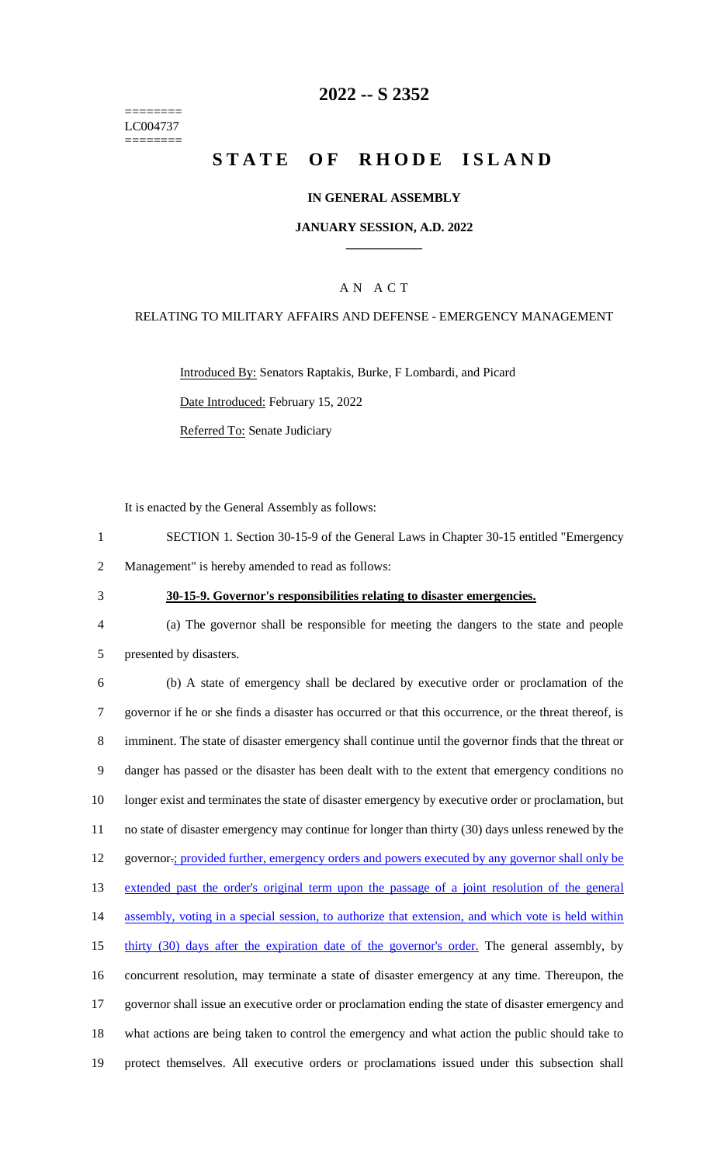======== LC004737 ========

# **2022 -- S 2352**

# **STATE OF RHODE ISLAND**

#### **IN GENERAL ASSEMBLY**

#### **JANUARY SESSION, A.D. 2022 \_\_\_\_\_\_\_\_\_\_\_\_**

### A N A C T

#### RELATING TO MILITARY AFFAIRS AND DEFENSE - EMERGENCY MANAGEMENT

Introduced By: Senators Raptakis, Burke, F Lombardi, and Picard

Date Introduced: February 15, 2022

Referred To: Senate Judiciary

It is enacted by the General Assembly as follows:

1 SECTION 1. Section 30-15-9 of the General Laws in Chapter 30-15 entitled "Emergency

2 Management" is hereby amended to read as follows:

### 3 **30-15-9. Governor's responsibilities relating to disaster emergencies.**

4 (a) The governor shall be responsible for meeting the dangers to the state and people 5 presented by disasters.

 (b) A state of emergency shall be declared by executive order or proclamation of the governor if he or she finds a disaster has occurred or that this occurrence, or the threat thereof, is imminent. The state of disaster emergency shall continue until the governor finds that the threat or danger has passed or the disaster has been dealt with to the extent that emergency conditions no 10 longer exist and terminates the state of disaster emergency by executive order or proclamation, but no state of disaster emergency may continue for longer than thirty (30) days unless renewed by the 12 governor-; provided further, emergency orders and powers executed by any governor shall only be extended past the order's original term upon the passage of a joint resolution of the general 14 assembly, voting in a special session, to authorize that extension, and which vote is held within 15 thirty (30) days after the expiration date of the governor's order. The general assembly, by concurrent resolution, may terminate a state of disaster emergency at any time. Thereupon, the governor shall issue an executive order or proclamation ending the state of disaster emergency and what actions are being taken to control the emergency and what action the public should take to protect themselves. All executive orders or proclamations issued under this subsection shall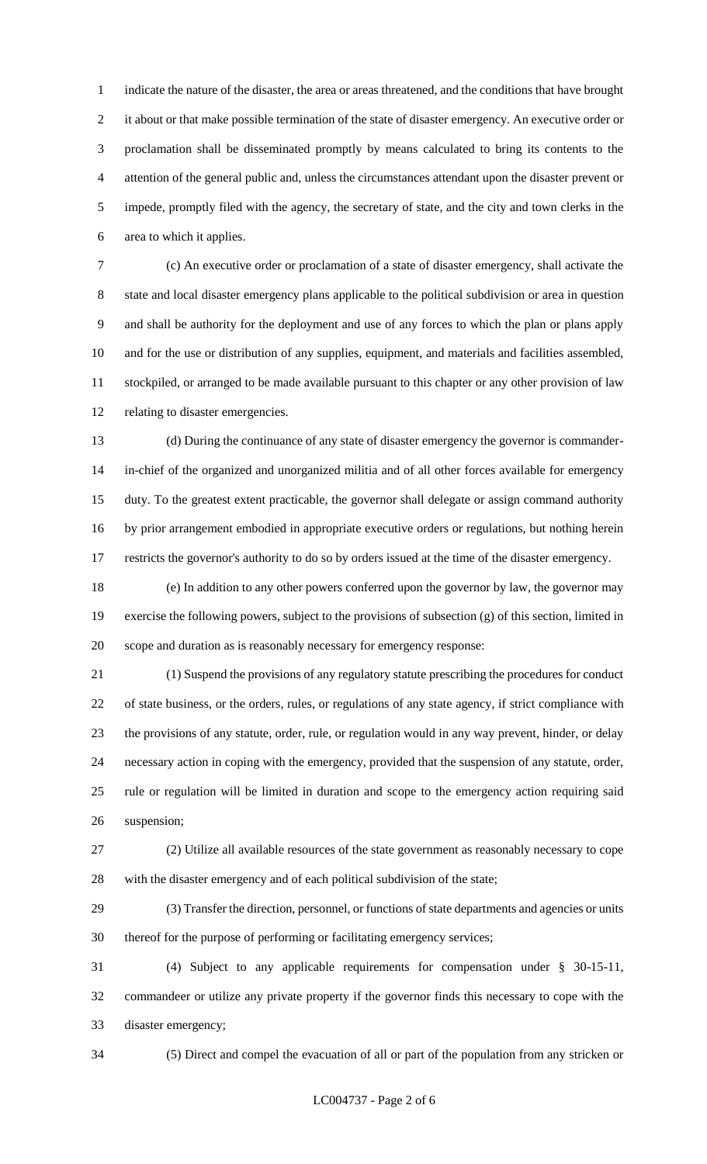indicate the nature of the disaster, the area or areas threatened, and the conditions that have brought it about or that make possible termination of the state of disaster emergency. An executive order or proclamation shall be disseminated promptly by means calculated to bring its contents to the attention of the general public and, unless the circumstances attendant upon the disaster prevent or impede, promptly filed with the agency, the secretary of state, and the city and town clerks in the area to which it applies.

 (c) An executive order or proclamation of a state of disaster emergency, shall activate the state and local disaster emergency plans applicable to the political subdivision or area in question and shall be authority for the deployment and use of any forces to which the plan or plans apply and for the use or distribution of any supplies, equipment, and materials and facilities assembled, stockpiled, or arranged to be made available pursuant to this chapter or any other provision of law relating to disaster emergencies.

 (d) During the continuance of any state of disaster emergency the governor is commander- in-chief of the organized and unorganized militia and of all other forces available for emergency duty. To the greatest extent practicable, the governor shall delegate or assign command authority by prior arrangement embodied in appropriate executive orders or regulations, but nothing herein restricts the governor's authority to do so by orders issued at the time of the disaster emergency.

 (e) In addition to any other powers conferred upon the governor by law, the governor may exercise the following powers, subject to the provisions of subsection (g) of this section, limited in scope and duration as is reasonably necessary for emergency response:

 (1) Suspend the provisions of any regulatory statute prescribing the procedures for conduct of state business, or the orders, rules, or regulations of any state agency, if strict compliance with the provisions of any statute, order, rule, or regulation would in any way prevent, hinder, or delay necessary action in coping with the emergency, provided that the suspension of any statute, order, rule or regulation will be limited in duration and scope to the emergency action requiring said suspension;

 (2) Utilize all available resources of the state government as reasonably necessary to cope with the disaster emergency and of each political subdivision of the state;

 (3) Transfer the direction, personnel, or functions of state departments and agencies or units thereof for the purpose of performing or facilitating emergency services;

 (4) Subject to any applicable requirements for compensation under § 30-15-11, commandeer or utilize any private property if the governor finds this necessary to cope with the disaster emergency;

(5) Direct and compel the evacuation of all or part of the population from any stricken or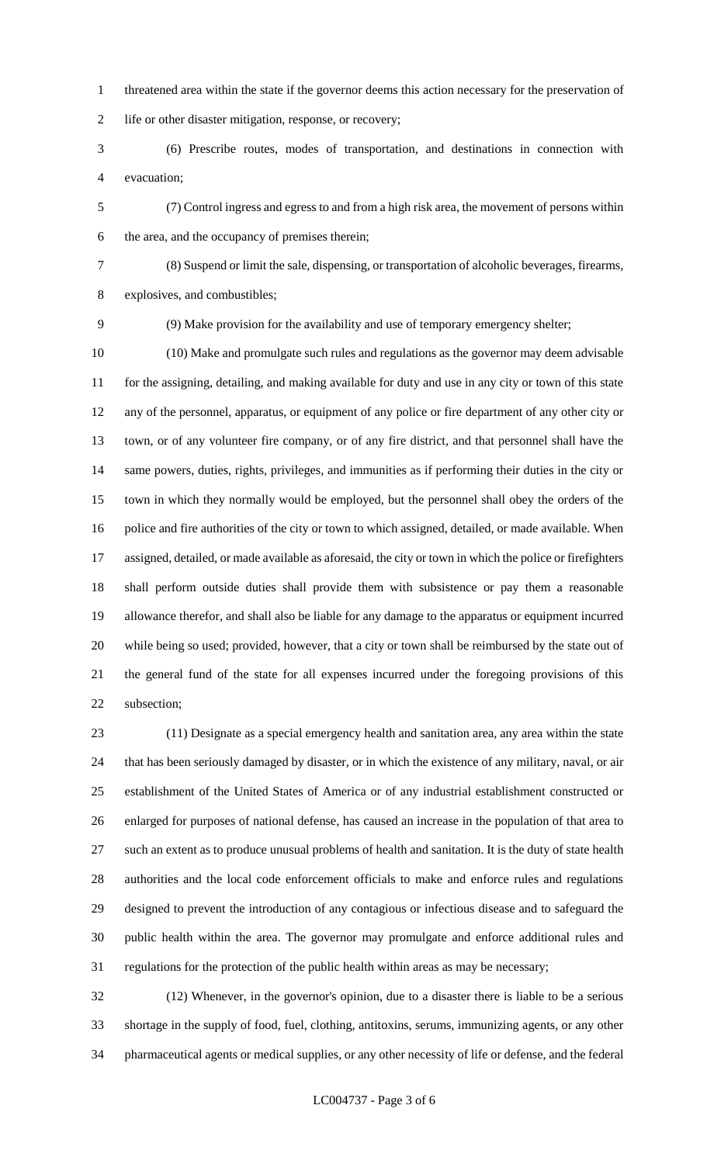- threatened area within the state if the governor deems this action necessary for the preservation of life or other disaster mitigation, response, or recovery;
- (6) Prescribe routes, modes of transportation, and destinations in connection with evacuation;
- (7) Control ingress and egress to and from a high risk area, the movement of persons within the area, and the occupancy of premises therein;
- 
- (8) Suspend or limit the sale, dispensing, or transportation of alcoholic beverages, firearms, explosives, and combustibles;
- 

(9) Make provision for the availability and use of temporary emergency shelter;

 (10) Make and promulgate such rules and regulations as the governor may deem advisable for the assigning, detailing, and making available for duty and use in any city or town of this state any of the personnel, apparatus, or equipment of any police or fire department of any other city or town, or of any volunteer fire company, or of any fire district, and that personnel shall have the same powers, duties, rights, privileges, and immunities as if performing their duties in the city or town in which they normally would be employed, but the personnel shall obey the orders of the police and fire authorities of the city or town to which assigned, detailed, or made available. When assigned, detailed, or made available as aforesaid, the city or town in which the police or firefighters shall perform outside duties shall provide them with subsistence or pay them a reasonable allowance therefor, and shall also be liable for any damage to the apparatus or equipment incurred while being so used; provided, however, that a city or town shall be reimbursed by the state out of the general fund of the state for all expenses incurred under the foregoing provisions of this subsection;

 (11) Designate as a special emergency health and sanitation area, any area within the state that has been seriously damaged by disaster, or in which the existence of any military, naval, or air establishment of the United States of America or of any industrial establishment constructed or enlarged for purposes of national defense, has caused an increase in the population of that area to such an extent as to produce unusual problems of health and sanitation. It is the duty of state health authorities and the local code enforcement officials to make and enforce rules and regulations designed to prevent the introduction of any contagious or infectious disease and to safeguard the public health within the area. The governor may promulgate and enforce additional rules and regulations for the protection of the public health within areas as may be necessary;

 (12) Whenever, in the governor's opinion, due to a disaster there is liable to be a serious shortage in the supply of food, fuel, clothing, antitoxins, serums, immunizing agents, or any other pharmaceutical agents or medical supplies, or any other necessity of life or defense, and the federal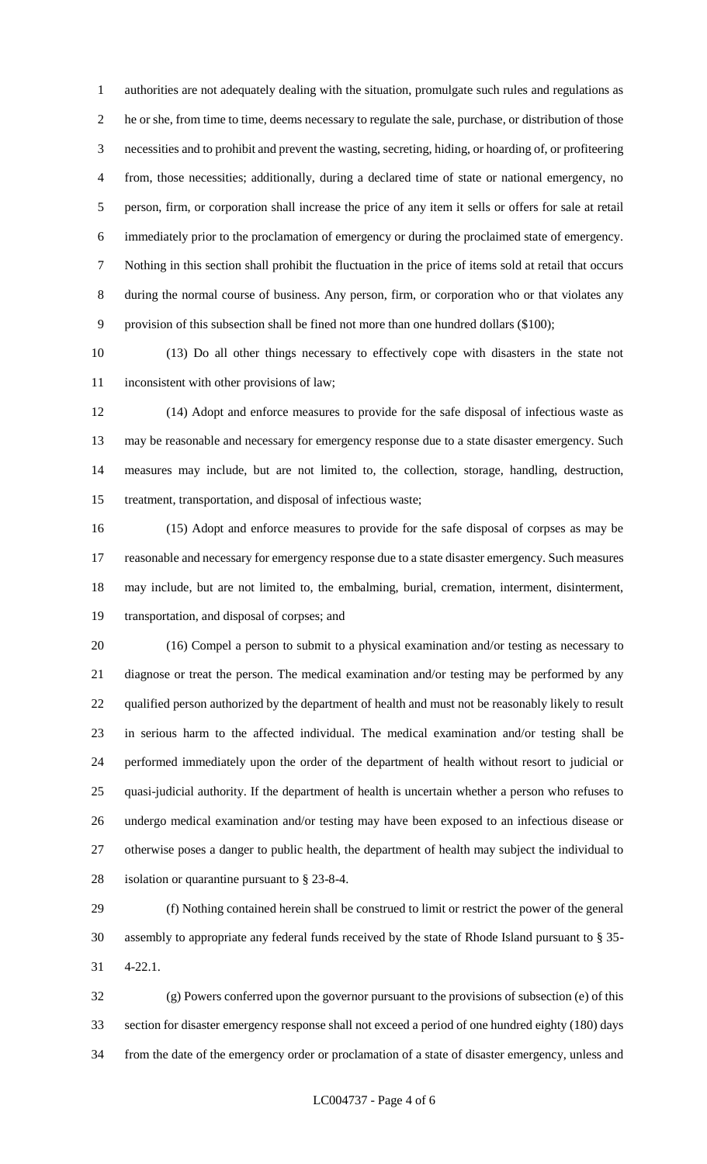authorities are not adequately dealing with the situation, promulgate such rules and regulations as he or she, from time to time, deems necessary to regulate the sale, purchase, or distribution of those necessities and to prohibit and prevent the wasting, secreting, hiding, or hoarding of, or profiteering from, those necessities; additionally, during a declared time of state or national emergency, no person, firm, or corporation shall increase the price of any item it sells or offers for sale at retail immediately prior to the proclamation of emergency or during the proclaimed state of emergency. Nothing in this section shall prohibit the fluctuation in the price of items sold at retail that occurs during the normal course of business. Any person, firm, or corporation who or that violates any provision of this subsection shall be fined not more than one hundred dollars (\$100);

 (13) Do all other things necessary to effectively cope with disasters in the state not inconsistent with other provisions of law;

 (14) Adopt and enforce measures to provide for the safe disposal of infectious waste as may be reasonable and necessary for emergency response due to a state disaster emergency. Such measures may include, but are not limited to, the collection, storage, handling, destruction, treatment, transportation, and disposal of infectious waste;

 (15) Adopt and enforce measures to provide for the safe disposal of corpses as may be reasonable and necessary for emergency response due to a state disaster emergency. Such measures may include, but are not limited to, the embalming, burial, cremation, interment, disinterment, transportation, and disposal of corpses; and

 (16) Compel a person to submit to a physical examination and/or testing as necessary to diagnose or treat the person. The medical examination and/or testing may be performed by any qualified person authorized by the department of health and must not be reasonably likely to result in serious harm to the affected individual. The medical examination and/or testing shall be performed immediately upon the order of the department of health without resort to judicial or quasi-judicial authority. If the department of health is uncertain whether a person who refuses to undergo medical examination and/or testing may have been exposed to an infectious disease or otherwise poses a danger to public health, the department of health may subject the individual to isolation or quarantine pursuant to § 23-8-4.

 (f) Nothing contained herein shall be construed to limit or restrict the power of the general assembly to appropriate any federal funds received by the state of Rhode Island pursuant to § 35- 4-22.1.

 (g) Powers conferred upon the governor pursuant to the provisions of subsection (e) of this section for disaster emergency response shall not exceed a period of one hundred eighty (180) days from the date of the emergency order or proclamation of a state of disaster emergency, unless and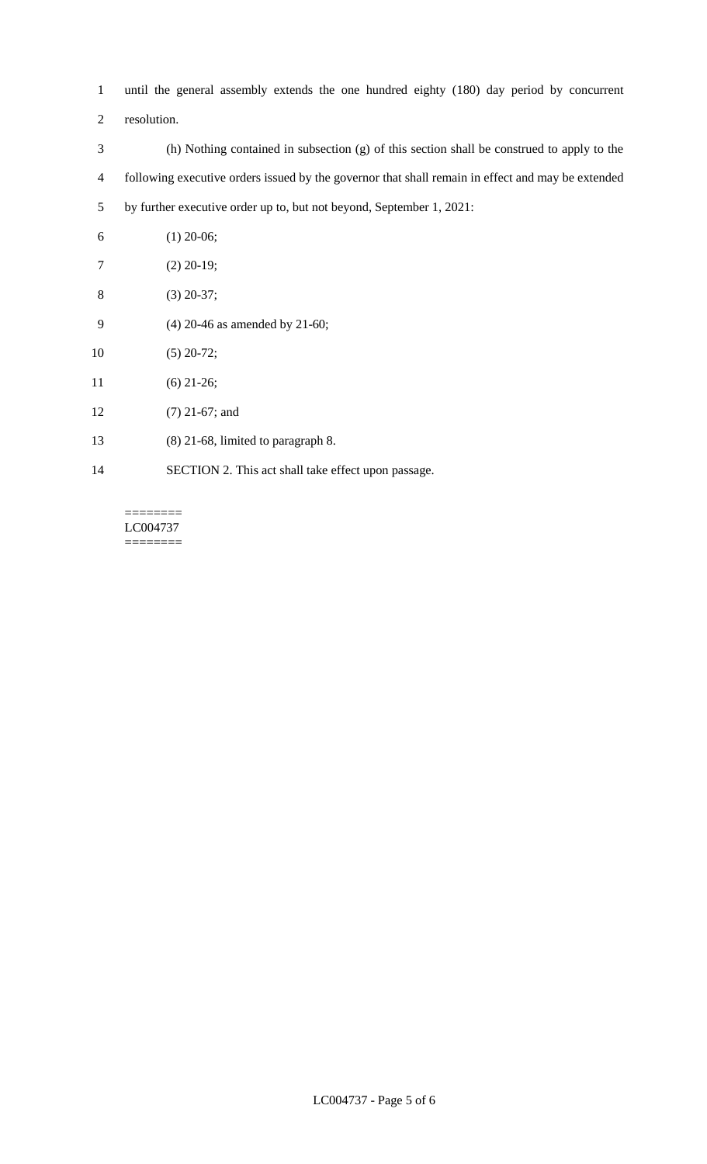until the general assembly extends the one hundred eighty (180) day period by concurrent

- resolution.
- (h) Nothing contained in subsection (g) of this section shall be construed to apply to the following executive orders issued by the governor that shall remain in effect and may be extended by further executive order up to, but not beyond, September 1, 2021:
- (1) 20-06; (2) 20-19; (3) 20-37; (4) 20-46 as amended by 21-60; (5) 20-72; (6) 21-26; (7) 21-67; and (8) 21-68, limited to paragraph 8.
- SECTION 2. This act shall take effect upon passage.

======== LC004737 ========